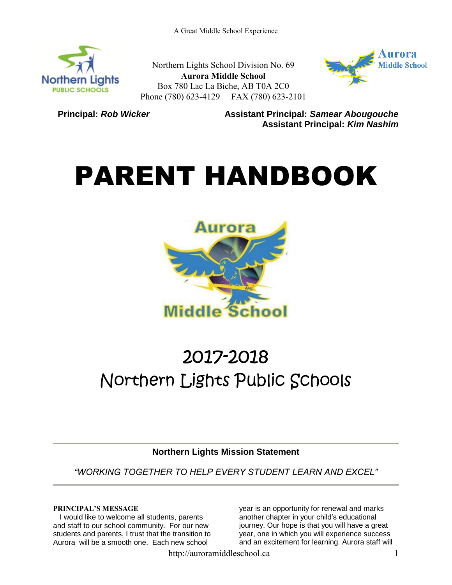

Northern Lights School Division No. 69 **Aurora Middle School** Box 780 Lac La Biche, AB T0A 2C0 Phone (780) 623-4129 FAX (780) 623-2101



**Principal: Rob Wicker Assistant Principal: Samear Abougouche Assistant Principal:** *Kim Nashim*

# PARENT HANDBOOK



# 2017-2018 Northern Lights Public Schools

**Northern Lights Mission Statement**

*"WORKING TOGETHER TO HELP EVERY STUDENT LEARN AND EXCEL"*

# **PRINCIPAL'S MESSAGE**

I would like to welcome all students, parents and staff to our school community. For our new students and parents, I trust that the transition to Aurora will be a smooth one. Each new school

year is an opportunity for renewal and marks another chapter in your child's educational journey. Our hope is that you will have a great year, one in which you will experience success and an excitement for learning. Aurora staff will

http://auroramiddleschool.ca 1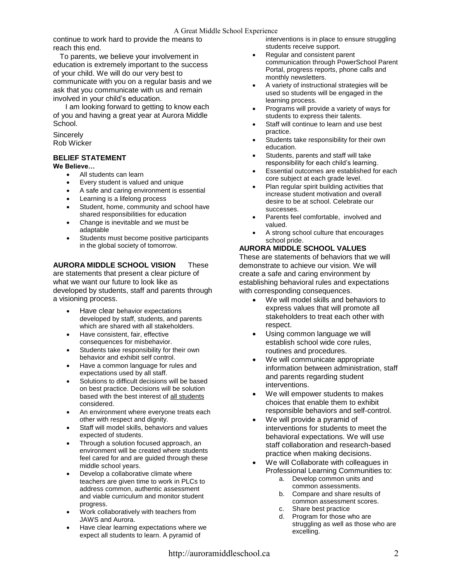continue to work hard to provide the means to reach this end.

To parents, we believe your involvement in education is extremely important to the success of your child. We will do our very best to communicate with you on a regular basis and we ask that you communicate with us and remain involved in your child's education.

 I am looking forward to getting to know each of you and having a great year at Aurora Middle School.

#### **Sincerely** Rob Wicker

#### **BELIEF STATEMENT**

**We Believe…**

- All students can learn
- Every student is valued and unique
- A safe and caring environment is essential
- Learning is a lifelong process
- Student, home, community and school have shared responsibilities for education
- Change is inevitable and we must be adaptable
- Students must become positive participants in the global society of tomorrow.

#### **AURORA MIDDLE SCHOOL VISION** These are statements that present a clear picture of what we want our future to look like as developed by students, staff and parents through a visioning process.

- Have clear behavior expectations developed by staff, students, and parents which are shared with all stakeholders.
- Have consistent, fair, effective consequences for misbehavior.
- Students take responsibility for their own behavior and exhibit self control.
- Have a common language for rules and expectations used by all staff.
- Solutions to difficult decisions will be based on best practice. Decisions will be solution based with the best interest of all students considered.
- An environment where everyone treats each other with respect and dignity.
- Staff will model skills, behaviors and values expected of students.
- Through a solution focused approach, an environment will be created where students feel cared for and are guided through these middle school years.
- Develop a collaborative climate where teachers are given time to work in PLCs to address common, authentic assessment and viable curriculum and monitor student progress.
- Work collaboratively with teachers from JAWS and Aurora.
- Have clear learning expectations where we expect all students to learn. A pyramid of

interventions is in place to ensure struggling students receive support.

- Regular and consistent parent communication through PowerSchool Parent Portal, progress reports, phone calls and monthly newsletters.
- A variety of instructional strategies will be used so students will be engaged in the learning process.
- Programs will provide a variety of ways for students to express their talents.
- Staff will continue to learn and use best practice.
- Students take responsibility for their own education.
- Students, parents and staff will take responsibility for each child's learning.
- Essential outcomes are established for each core subject at each grade level.
- Plan regular spirit building activities that increase student motivation and overall desire to be at school. Celebrate our successes.
- Parents feel comfortable, involved and valued.
- A strong school culture that encourages school pride.

# **AURORA MIDDLE SCHOOL VALUES**

These are statements of behaviors that we will demonstrate to achieve our vision. We will create a safe and caring environment by establishing behavioral rules and expectations with corresponding consequences.

- We will model skills and behaviors to express values that will promote all stakeholders to treat each other with respect.
- Using common language we will establish school wide core rules, routines and procedures.
- We will communicate appropriate information between administration, staff and parents regarding student interventions.
- We will empower students to makes choices that enable them to exhibit responsible behaviors and self-control.
- We will provide a pyramid of interventions for students to meet the behavioral expectations. We will use staff collaboration and research-based practice when making decisions.
- We will Collaborate with colleagues in Professional Learning Communities to:
	- a. Develop common units and common assessments.
		- b. Compare and share results of common assessment scores.
		- c. Share best practice
		- d. Program for those who are struggling as well as those who are excelling.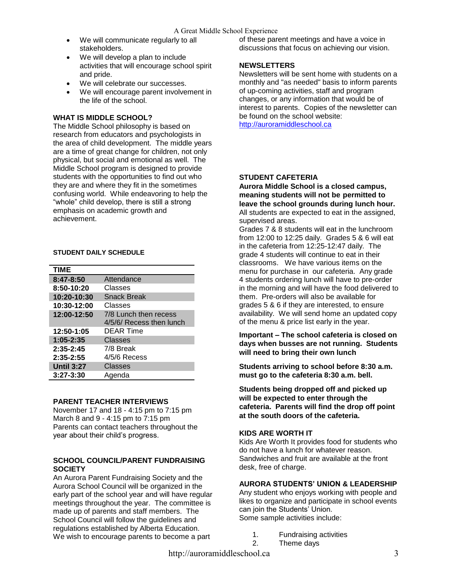- We will communicate regularly to all stakeholders.
- We will develop a plan to include activities that will encourage school spirit and pride.
- We will celebrate our successes.
- We will encourage parent involvement in the life of the school.

# **WHAT IS MIDDLE SCHOOL?**

The Middle School philosophy is based on research from educators and psychologists in the area of child development. The middle years are a time of great change for children, not only physical, but social and emotional as well. The Middle School program is designed to provide students with the opportunities to find out who they are and where they fit in the sometimes confusing world. While endeavoring to help the "whole" child develop, there is still a strong emphasis on academic growth and achievement.

# **STUDENT DAILY SCHEDULE**

| <b>TIME</b>       |                                                   |
|-------------------|---------------------------------------------------|
| 8:47-8:50         | Attendance                                        |
| 8:50-10:20        | Classes                                           |
| 10:20-10:30       | <b>Snack Break</b>                                |
| 10:30-12:00       | Classes                                           |
| 12:00-12:50       | 7/8 Lunch then recess<br>4/5/6/ Recess then lunch |
| 12:50-1:05        | DEAR Time                                         |
| $1:05 - 2:35$     | Classes                                           |
| $2:35 - 2:45$     | 7/8 Break                                         |
| $2:35 - 2:55$     | $4/5/6$ Recess                                    |
| <b>Until 3:27</b> | Classes                                           |
| $3:27 - 3:30$     | Agenda                                            |

# **PARENT TEACHER INTERVIEWS**

November 17 and 18 - 4:15 pm to 7:15 pm March 8 and 9 - 4:15 pm to 7:15 pm Parents can contact teachers throughout the year about their child's progress.

#### **SCHOOL COUNCIL/PARENT FUNDRAISING SOCIETY**

An Aurora Parent Fundraising Society and the Aurora School Council will be organized in the early part of the school year and will have regular meetings throughout the year. The committee is made up of parents and staff members. The School Council will follow the guidelines and regulations established by Alberta Education. We wish to encourage parents to become a part

of these parent meetings and have a voice in discussions that focus on achieving our vision.

# **NEWSLETTERS**

Newsletters will be sent home with students on a monthly and "as needed" basis to inform parents of up-coming activities, staff and program changes, or any information that would be of interest to parents. Copies of the newsletter can be found on the school website: [http://auroramiddleschool.ca](http://auroramiddleschool.ca/)

#### **STUDENT CAFETERIA**

**Aurora Middle School is a closed campus, meaning students will not be permitted to leave the school grounds during lunch hour.** All students are expected to eat in the assigned, supervised areas.

Grades 7 & 8 students will eat in the lunchroom from 12:00 to 12:25 daily. Grades 5 & 6 will eat in the cafeteria from 12:25-12:47 daily. The grade 4 students will continue to eat in their classrooms. We have various items on the menu for purchase in our cafeteria. Any grade 4 students ordering lunch will have to pre-order in the morning and will have the food delivered to them. Pre-orders will also be available for grades 5 & 6 if they are interested, to ensure availability. We will send home an updated copy of the menu & price list early in the year.

**Important – The school cafeteria is closed on days when busses are not running. Students will need to bring their own lunch** 

**Students arriving to school before 8:30 a.m. must go to the cafeteria 8:30 a.m. bell.**

**Students being dropped off and picked up will be expected to enter through the cafeteria. Parents will find the drop off point at the south doors of the cafeteria.**

# **KIDS ARE WORTH IT**

Kids Are Worth It provides food for students who do not have a lunch for whatever reason. Sandwiches and fruit are available at the front desk, free of charge.

# **AURORA STUDENTS' UNION & LEADERSHIP**

Any student who enjoys working with people and likes to organize and participate in school events can join the Students' Union. Some sample activities include:

- 1. Fundraising activities
- 2. Theme days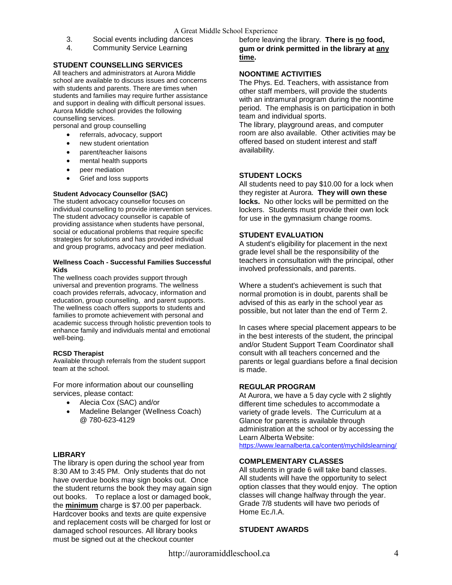- 3. Social events including dances
- 4. Community Service Learning

# **STUDENT COUNSELLING SERVICES**

All teachers and administrators at Aurora Middle school are available to discuss issues and concerns with students and parents. There are times when students and families may require further assistance and support in dealing with difficult personal issues. Aurora Middle school provides the following counselling services.

personal and group counselling

- referrals, advocacy, support
- new student orientation
- parent/teacher liaisons
- mental health supports
- peer mediation
- Grief and loss supports

#### **Student Advocacy Counsellor (SAC)**

The student advocacy counsellor focuses on individual counselling to provide intervention services. The student advocacy counsellor is capable of providing assistance when students have personal, social or educational problems that require specific strategies for solutions and has provided individual and group programs, advocacy and peer mediation.

#### **Wellness Coach - Successful Families Successful Kids**

The wellness coach provides support through universal and prevention programs. The wellness coach provides referrals, advocacy, information and education, group counselling, and parent supports. The wellness coach offers supports to students and families to promote achievement with personal and academic success through holistic prevention tools to enhance family and individuals mental and emotional well-being.

#### **RCSD Therapist**

Available through referrals from the student support team at the school.

For more information about our counselling services, please contact:

- Alecia Cox (SAC) and/or
- Madeline Belanger (Wellness Coach) @ 780-623-4129

#### **LIBRARY**

The library is open during the school year from 8:30 AM to 3:45 PM. Only students that do not have overdue books may sign books out. Once the student returns the book they may again sign out books. To replace a lost or damaged book, the **minimum** charge is \$7.00 per paperback. Hardcover books and texts are quite expensive and replacement costs will be charged for lost or damaged school resources. All library books must be signed out at the checkout counter

before leaving the library. **There is no food, gum or drink permitted in the library at any time.** 

# **NOONTIME ACTIVITIES**

The Phys. Ed. Teachers, with assistance from other staff members, will provide the students with an intramural program during the noontime period. The emphasis is on participation in both team and individual sports.

The library, playground areas, and computer room are also available. Other activities may be offered based on student interest and staff availability.

#### **STUDENT LOCKS**

All students need to pay \$10.00 for a lock when they register at Aurora. **They will own these locks.** No other locks will be permitted on the lockers. Students must provide their own lock for use in the gymnasium change rooms.

#### **STUDENT EVALUATION**

A student's eligibility for placement in the next grade level shall be the responsibility of the teachers in consultation with the principal, other involved professionals, and parents.

Where a student's achievement is such that normal promotion is in doubt, parents shall be advised of this as early in the school year as possible, but not later than the end of Term 2.

In cases where special placement appears to be in the best interests of the student, the principal and/or Student Support Team Coordinator shall consult with all teachers concerned and the parents or legal guardians before a final decision is made.

#### **REGULAR PROGRAM**

At Aurora, we have a 5 day cycle with 2 slightly different time schedules to accommodate a variety of grade levels. The Curriculum at a Glance for parents is available through administration at the school or by accessing the Learn Alberta Website:

<https://www.learnalberta.ca/content/mychildslearning/>

#### **COMPLEMENTARY CLASSES**

All students in grade 6 will take band classes. All students will have the opportunity to select option classes that they would enjoy. The option classes will change halfway through the year. Grade 7/8 students will have two periods of Home Ec./I.A.

#### **STUDENT AWARDS**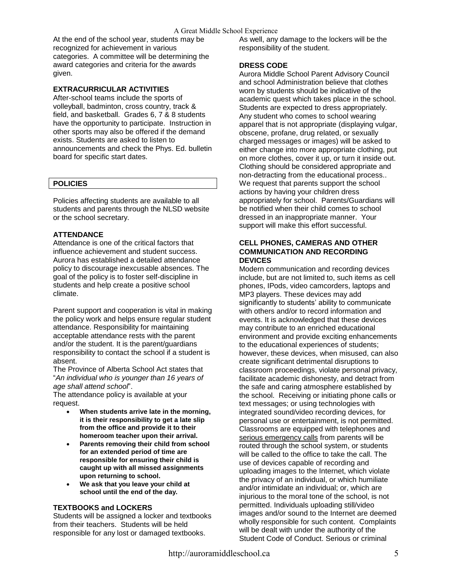#### A Great Middle School Experience

At the end of the school year, students may be recognized for achievement in various categories. A committee will be determining the award categories and criteria for the awards given.

# **EXTRACURRICULAR ACTIVITIES**

After-school teams include the sports of volleyball, badminton, cross country, track & field, and basketball. Grades 6, 7 & 8 students have the opportunity to participate. Instruction in other sports may also be offered if the demand exists. Students are asked to listen to announcements and check the Phys. Ed. bulletin board for specific start dates.

#### **POLICIES**

Policies affecting students are available to all students and parents through the NLSD website or the school secretary.

#### **ATTENDANCE**

Attendance is one of the critical factors that influence achievement and student success. Aurora has established a detailed attendance policy to discourage inexcusable absences. The goal of the policy is to foster self-discipline in students and help create a positive school climate.

Parent support and cooperation is vital in making the policy work and helps ensure regular student attendance. Responsibility for maintaining acceptable attendance rests with the parent and/or the student. It is the parent/guardians responsibility to contact the school if a student is absent.

The Province of Alberta School Act states that "*An individual who is younger than 16 years of age shall attend school*".

The attendance policy is available at your request.

- **When students arrive late in the morning, it is their responsibility to get a late slip from the office and provide it to their homeroom teacher upon their arrival.**
- **Parents removing their child from school for an extended period of time are responsible for ensuring their child is caught up with all missed assignments upon returning to school.**
- **We ask that you leave your child at school until the end of the day.**

# **TEXTBOOKS and LOCKERS**

Students will be assigned a locker and textbooks from their teachers. Students will be held responsible for any lost or damaged textbooks.

As well, any damage to the lockers will be the responsibility of the student.

# **DRESS CODE**

Aurora Middle School Parent Advisory Council and school Administration believe that clothes worn by students should be indicative of the academic quest which takes place in the school. Students are expected to dress appropriately. Any student who comes to school wearing apparel that is not appropriate (displaying vulgar, obscene, profane, drug related, or sexually charged messages or images) will be asked to either change into more appropriate clothing, put on more clothes, cover it up, or turn it inside out. Clothing should be considered appropriate and non-detracting from the educational process.. We request that parents support the school actions by having your children dress appropriately for school. Parents/Guardians will be notified when their child comes to school dressed in an inappropriate manner. Your support will make this effort successful.

#### **CELL PHONES, CAMERAS AND OTHER COMMUNICATION AND RECORDING DEVICES**

Modern communication and recording devices include, but are not limited to, such items as cell phones, IPods, video camcorders, laptops and MP3 players. These devices may add significantly to students' ability to communicate with others and/or to record information and events. It is acknowledged that these devices may contribute to an enriched educational environment and provide exciting enhancements to the educational experiences of students; however, these devices, when misused, can also create significant detrimental disruptions to classroom proceedings, violate personal privacy, facilitate academic dishonesty, and detract from the safe and caring atmosphere established by the school. Receiving or initiating phone calls or text messages; or using technologies with integrated sound/video recording devices, for personal use or entertainment, is not permitted. Classrooms are equipped with telephones and serious emergency calls from parents will be routed through the school system, or students will be called to the office to take the call. The use of devices capable of recording and uploading images to the Internet, which violate the privacy of an individual, or which humiliate and/or intimidate an individual; or, which are injurious to the moral tone of the school, is not permitted. Individuals uploading still/video images and/or sound to the Internet are deemed wholly responsible for such content. Complaints will be dealt with under the authority of the Student Code of Conduct. Serious or criminal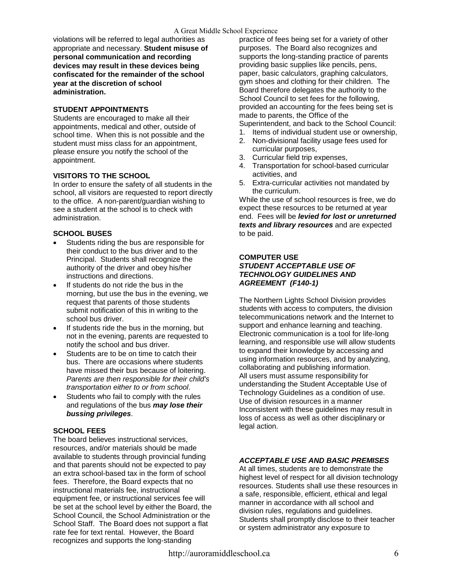violations will be referred to legal authorities as appropriate and necessary. **Student misuse of personal communication and recording devices may result in these devices being confiscated for the remainder of the school year at the discretion of school administration.** 

# **STUDENT APPOINTMENTS**

Students are encouraged to make all their appointments, medical and other, outside of school time. When this is not possible and the student must miss class for an appointment, please ensure you notify the school of the appointment.

# **VISITORS TO THE SCHOOL**

In order to ensure the safety of all students in the school, all visitors are requested to report directly to the office. A non-parent/guardian wishing to see a student at the school is to check with administration.

# **SCHOOL BUSES**

- Students riding the bus are responsible for their conduct to the bus driver and to the Principal. Students shall recognize the authority of the driver and obey his/her instructions and directions.
- If students do not ride the bus in the morning, but use the bus in the evening, we request that parents of those students submit notification of this in writing to the school bus driver.
- If students ride the bus in the morning, but not in the evening, parents are requested to notify the school and bus driver.
- Students are to be on time to catch their bus. There are occasions where students have missed their bus because of loitering. *Parents are then responsible for their child's transportation either to or from school*.
- Students who fail to comply with the rules and regulations of the bus *may lose their bussing privileges*.

# **SCHOOL FEES**

The board believes instructional services, resources, and/or materials should be made available to students through provincial funding and that parents should not be expected to pay an extra school-based tax in the form of school fees. Therefore, the Board expects that no instructional materials fee, instructional equipment fee, or instructional services fee will be set at the school level by either the Board, the School Council, the School Administration or the School Staff. The Board does not support a flat rate fee for text rental. However, the Board recognizes and supports the long-standing

practice of fees being set for a variety of other purposes. The Board also recognizes and supports the long-standing practice of parents providing basic supplies like pencils, pens, paper, basic calculators, graphing calculators, gym shoes and clothing for their children. The Board therefore delegates the authority to the School Council to set fees for the following, provided an accounting for the fees being set is made to parents, the Office of the

Superintendent, and back to the School Council:

- 1. Items of individual student use or ownership, 2. Non-divisional facility usage fees used for curricular purposes,
- 3. Curricular field trip expenses,
- 4. Transportation for school-based curricular activities, and
- 5. Extra-curricular activities not mandated by the curriculum.

While the use of school resources is free, we do expect these resources to be returned at year end. Fees will be *levied for lost or unreturned texts and library resources* and are expected to be paid.

# **COMPUTER USE** *STUDENT ACCEPTABLE USE OF TECHNOLOGY GUIDELINES AND AGREEMENT (F140-1)*

The Northern Lights School Division provides students with access to computers, the division telecommunications network and the Internet to support and enhance learning and teaching. Electronic communication is a tool for life-long learning, and responsible use will allow students to expand their knowledge by accessing and using information resources, and by analyzing, collaborating and publishing information. All users must assume responsibility for understanding the Student Acceptable Use of Technology Guidelines as a condition of use. Use of division resources in a manner Inconsistent with these guidelines may result in loss of access as well as other disciplinary or legal action.

# *ACCEPTABLE USE AND BASIC PREMISES*

At all times, students are to demonstrate the highest level of respect for all division technology resources. Students shall use these resources in a safe, responsible, efficient, ethical and legal manner in accordance with all school and division rules, regulations and guidelines. Students shall promptly disclose to their teacher or system administrator any exposure to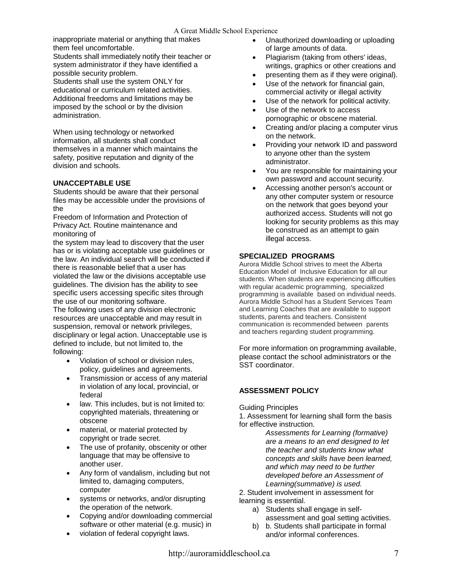inappropriate material or anything that makes them feel uncomfortable.

Students shall immediately notify their teacher or system administrator if they have identified a possible security problem. Students shall use the system ONLY for

educational or curriculum related activities. Additional freedoms and limitations may be imposed by the school or by the division administration.

When using technology or networked information, all students shall conduct themselves in a manner which maintains the safety, positive reputation and dignity of the division and schools.

# **UNACCEPTABLE USE**

Students should be aware that their personal files may be accessible under the provisions of the

Freedom of Information and Protection of Privacy Act. Routine maintenance and monitoring of

the system may lead to discovery that the user has or is violating acceptable use guidelines or the law. An individual search will be conducted if there is reasonable belief that a user has violated the law or the divisions acceptable use guidelines. The division has the ability to see specific users accessing specific sites through the use of our monitoring software.

The following uses of any division electronic resources are unacceptable and may result in suspension, removal or network privileges, disciplinary or legal action. Unacceptable use is defined to include, but not limited to, the following:

- Violation of school or division rules, policy, guidelines and agreements.
- Transmission or access of any material in violation of any local, provincial, or federal
- law. This includes, but is not limited to: copyrighted materials, threatening or obscene
- material, or material protected by copyright or trade secret.
- The use of profanity, obscenity or other language that may be offensive to another user.
- Any form of vandalism, including but not limited to, damaging computers, computer
- systems or networks, and/or disrupting the operation of the network.
- Copying and/or downloading commercial software or other material (e.g. music) in
- violation of federal copyright laws.
- Unauthorized downloading or uploading of large amounts of data.
- Plagiarism (taking from others' ideas, writings, graphics or other creations and
- presenting them as if they were original).
- Use of the network for financial gain, commercial activity or illegal activity
- Use of the network for political activity.
- Use of the network to access pornographic or obscene material.
- Creating and/or placing a computer virus on the network.
- Providing your network ID and password to anyone other than the system administrator.
- You are responsible for maintaining your own password and account security.
- Accessing another person's account or any other computer system or resource on the network that goes beyond your authorized access. Students will not go looking for security problems as this may be construed as an attempt to gain illegal access.

# **SPECIALIZED PROGRAMS**

Aurora Middle School strives to meet the Alberta Education Model of Inclusive Education for all our students. When students are experiencing difficulties with regular academic programming, specialized programming is available based on individual needs. Aurora Middle School has a Student Services Team and Learning Coaches that are available to support students, parents and teachers. Consistent communication is recommended between parents and teachers regarding student programming.

For more information on programming available, please contact the school administrators or the SST coordinator.

# **ASSESSMENT POLICY**

Guiding Principles

1. Assessment for learning shall form the basis for effective instruction.

> *Assessments for Learning (formative) are a means to an end designed to let the teacher and students know what concepts and skills have been learned, and which may need to be further developed before an Assessment of Learning(summative) is used.*

2. Student involvement in assessment for learning is essential.

- a) Students shall engage in selfassessment and goal setting activities.
- b) b. Students shall participate in formal and/or informal conferences.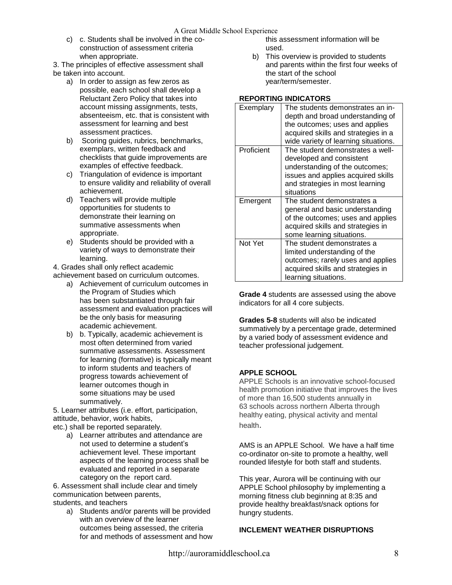c) c. Students shall be involved in the coconstruction of assessment criteria when appropriate.

3. The principles of effective assessment shall be taken into account.

- a) In order to assign as few zeros as possible, each school shall develop a Reluctant Zero Policy that takes into account missing assignments, tests, absenteeism, etc. that is consistent with assessment for learning and best assessment practices.
- b) Scoring guides, rubrics, benchmarks, exemplars, written feedback and checklists that guide improvements are examples of effective feedback.
- c) Triangulation of evidence is important to ensure validity and reliability of overall achievement.
- d) Teachers will provide multiple opportunities for students to demonstrate their learning on summative assessments when appropriate.
- e) Students should be provided with a variety of ways to demonstrate their learning.

4. Grades shall only reflect academic achievement based on curriculum outcomes.

- a) Achievement of curriculum outcomes in the Program of Studies which has been substantiated through fair assessment and evaluation practices will be the only basis for measuring academic achievement.
- b) b. Typically, academic achievement is most often determined from varied summative assessments. Assessment for learning (formative) is typically meant to inform students and teachers of progress towards achievement of learner outcomes though in some situations may be used summatively.

5. Learner attributes (i.e. effort, participation, attitude, behavior, work habits, etc.) shall be reported separately.

a) Learner attributes and attendance are not used to determine a student's achievement level. These important aspects of the learning process shall be evaluated and reported in a separate category on the report card.

6. Assessment shall include clear and timely communication between parents, students, and teachers

a) Students and/or parents will be provided with an overview of the learner outcomes being assessed, the criteria for and methods of assessment and how this assessment information will be used.

b) This overview is provided to students and parents within the first four weeks of the start of the school year/term/semester.

# **REPORTING INDICATORS**

| Exemplary  | The students demonstrates an in-<br>depth and broad understanding of<br>the outcomes; uses and applies<br>acquired skills and strategies in a<br>wide variety of learning situations. |
|------------|---------------------------------------------------------------------------------------------------------------------------------------------------------------------------------------|
| Proficient | The student demonstrates a well-<br>developed and consistent<br>understanding of the outcomes;<br>issues and applies acquired skills<br>and strategies in most learning<br>situations |
| Emergent   | The student demonstrates a<br>general and basic understanding<br>of the outcomes; uses and applies<br>acquired skills and strategies in<br>some learning situations.                  |
| Not Yet    | The student demonstrates a<br>limited understanding of the<br>outcomes; rarely uses and applies<br>acquired skills and strategies in<br>learning situations.                          |

**Grade 4** students are assessed using the above indicators for all 4 core subjects.

**Grades 5-8** students will also be indicated summatively by a percentage grade, determined by a varied body of assessment evidence and teacher professional judgement.

# **APPLE SCHOOL**

APPLE Schools is an innovative school-focused health promotion initiative that improves the lives of more than 16,500 students annually in 63 schools across northern Alberta through healthy eating, physical activity and mental health.

AMS is an APPLE School. We have a half time co-ordinator on-site to promote a healthy, well rounded lifestyle for both staff and students.

This year, Aurora will be continuing with our APPLE School philosophy by implementing a morning fitness club beginning at 8:35 and provide healthy breakfast/snack options for hungry students.

# **INCLEMENT WEATHER DISRUPTIONS**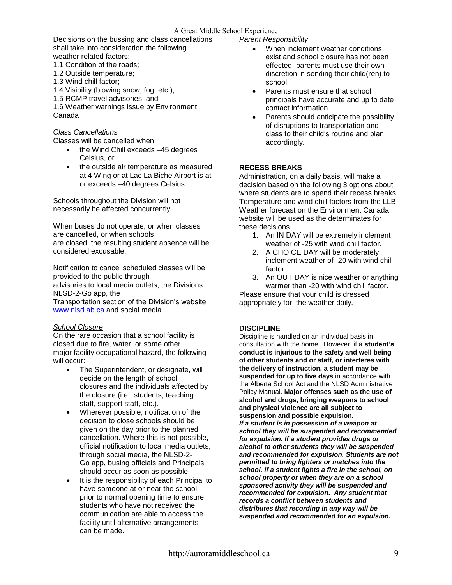#### A Great Middle School Experience

Decisions on the bussing and class cancellations shall take into consideration the following weather related factors:

1.1 Condition of the roads;

- 1.2 Outside temperature;
- 1.3 Wind chill factor;
- 1.4 Visibility (blowing snow, fog, etc.);
- 1.5 RCMP travel advisories; and

1.6 Weather warnings issue by Environment Canada

#### *Class Cancellations*

Classes will be cancelled when:

- the Wind Chill exceeds –45 degrees Celsius, or
- the outside air temperature as measured at 4 Wing or at Lac La Biche Airport is at or exceeds –40 degrees Celsius.

Schools throughout the Division will not necessarily be affected concurrently.

When buses do not operate, or when classes are cancelled, or when schools are closed, the resulting student absence will be considered excusable.

Notification to cancel scheduled classes will be provided to the public through

advisories to local media outlets, the Divisions NLSD-2-Go app, the

Transportation section of the Division's website [www.nlsd.ab.ca](http://www.nlsd.ab.ca/) and social media.

#### *School Closure*

On the rare occasion that a school facility is closed due to fire, water, or some other major facility occupational hazard, the following will occur:

- The Superintendent, or designate, will decide on the length of school closures and the individuals affected by the closure (i.e., students, teaching staff, support staff, etc.).
- Wherever possible, notification of the decision to close schools should be given on the day prior to the planned cancellation. Where this is not possible, official notification to local media outlets, through social media, the NLSD-2- Go app, busing officials and Principals should occur as soon as possible.
- It is the responsibility of each Principal to have someone at or near the school prior to normal opening time to ensure students who have not received the communication are able to access the facility until alternative arrangements can be made.

#### *Parent Responsibility*

- When inclement weather conditions exist and school closure has not been effected, parents must use their own discretion in sending their child(ren) to school.
- Parents must ensure that school principals have accurate and up to date contact information.
- Parents should anticipate the possibility of disruptions to transportation and class to their child's routine and plan accordingly.

#### **RECESS BREAKS**

Administration, on a daily basis, will make a decision based on the following 3 options about where students are to spend their recess breaks. Temperature and wind chill factors from the LLB Weather forecast on the Environment Canada website will be used as the determinates for these decisions.

- 1. An IN DAY will be extremely inclement weather of -25 with wind chill factor.
- 2. A CHOICE DAY will be moderately inclement weather of -20 with wind chill factor.
- 3. An OUT DAY is nice weather or anything warmer than -20 with wind chill factor.

Please ensure that your child is dressed appropriately for the weather daily.

# **DISCIPLINE**

Discipline is handled on an individual basis in consultation with the home. However, if a **student's conduct is injurious to the safety and well being of other students and or staff, or interferes with the delivery of instruction, a student may be suspended for up to five days** in accordance with the Alberta School Act and the NLSD Administrative Policy Manual. **Major offenses such as the use of alcohol and drugs, bringing weapons to school and physical violence are all subject to suspension and possible expulsion.**  *If a student is in possession of a weapon at school they will be suspended and recommended for expulsion. If a student provides drugs or alcohol to other students they will be suspended and recommended for expulsion. Students are not permitted to bring lighters or matches into the school. If a student lights a fire in the school, on school property or when they are on a school sponsored activity they will be suspended and recommended for expulsion. Any student that records a conflict between students and distributes that recording in any way will be suspended and recommended for an expulsion.*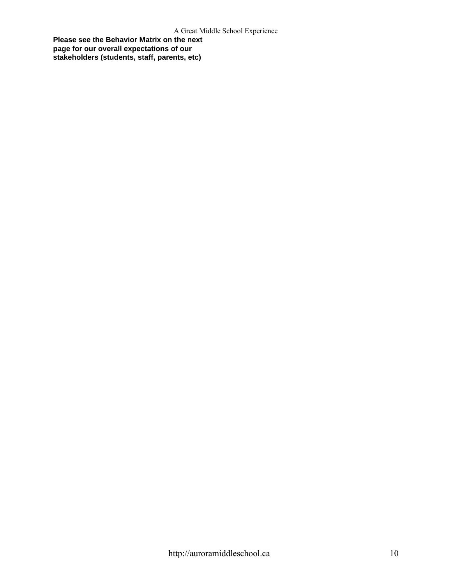**Please see the Behavior Matrix on the next page for our overall expectations of our stakeholders (students, staff, parents, etc)**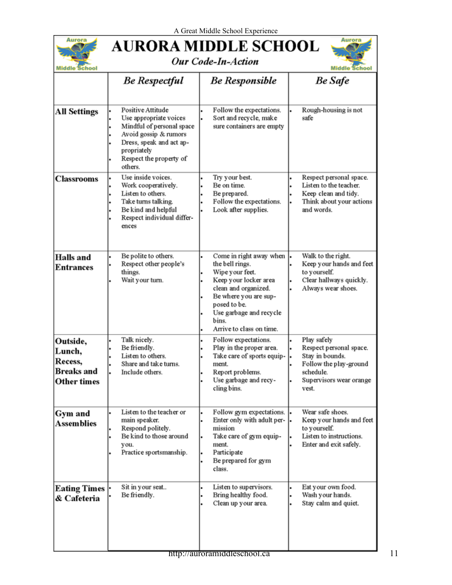

# **AURORA MIDDLE SCHOOL**





| <b>Middle School</b>                                              |                                                                                                                                                                                    |                                                                                                                                                                                                                         | <b>Middle School</b>                                                                                                                 |  |
|-------------------------------------------------------------------|------------------------------------------------------------------------------------------------------------------------------------------------------------------------------------|-------------------------------------------------------------------------------------------------------------------------------------------------------------------------------------------------------------------------|--------------------------------------------------------------------------------------------------------------------------------------|--|
|                                                                   | <b>Be Respectful</b>                                                                                                                                                               | <b>Be Responsible</b>                                                                                                                                                                                                   | <b>Be Safe</b>                                                                                                                       |  |
| <b>All Settings</b>                                               | Positive Attitude<br>Use appropriate voices<br>Mindful of personal space<br>Avoid gossip & rumors<br>Dress, speak and act ap-<br>propriately<br>Respect the property of<br>others. | Follow the expectations.<br>Sort and recycle, make<br>sure containers are empty                                                                                                                                         | Rough-housing is not<br>safe                                                                                                         |  |
| <b>Classrooms</b>                                                 | Use inside voices.<br>Work cooperatively.<br>Listen to others.<br>Take turns talking.<br>Be kind and helpful<br>Respect individual differ-<br>ences                                | Try your best.<br>Be on time.<br>Be prepared.<br>Follow the expectations.<br>Look after supplies.                                                                                                                       | Respect personal space.<br>Listen to the teacher.<br>Keep clean and tidy.<br>Think about your actions<br>and words.                  |  |
| <b>Halls</b> and<br><b>Entrances</b>                              | Be polite to others.<br>Respect other people's<br>things.<br>Wait your turn.                                                                                                       | Come in right away when<br>the bell rings.<br>Wipe your feet.<br>Keep your locker area<br>clean and organized.<br>Be where you are sup-<br>posed to be.<br>Use garbage and recycle<br>bins.<br>Arrive to class on time. | Walk to the right.<br>Keep your hands and feet<br>to yourself.<br>Clear hallways quickly.<br>Always wear shoes.                      |  |
| Outside,<br>Lunch,<br>Recess,<br><b>Breaks</b> and<br>Other times | Talk nicely.<br>Be friendly.<br>Listen to others.<br>Share and take turns.<br>Include others.                                                                                      | Follow expectations.<br>Play in the proper area.<br>Take care of sports equip-<br>ment.<br>Report problems.<br>Use garbage and recy-<br>cling bins.                                                                     | Play safely<br>Respect personal space.<br>Stay in bounds.<br>Follow the play-ground<br>schedule.<br>Supervisors wear orange<br>vest. |  |
| Gym and<br><b>Assemblies</b>                                      | Listen to the teacher or<br>main speaker.<br>Respond politely.<br>Be kind to those around<br>you.<br>Practice sportsmanship.                                                       | Follow gym expectations.<br>Enter only with adult per-<br>mission<br>Take care of gym equip-<br>ment.<br>Participate<br>Be prepared for gym<br>class.                                                                   | Wear safe shoes.<br>Keep your hands and feet<br>to yourself.<br>Listen to instructions.<br>Enter and exit safely.                    |  |
| <b>Eating Times</b><br>& Cafeteria                                | Sit in your seat<br>Be friendly.                                                                                                                                                   | Listen to supervisors.<br>Bring healthy food.<br>Clean up your area.                                                                                                                                                    | Eat your own food.<br>Wash your hands.<br>Stay calm and quiet.                                                                       |  |